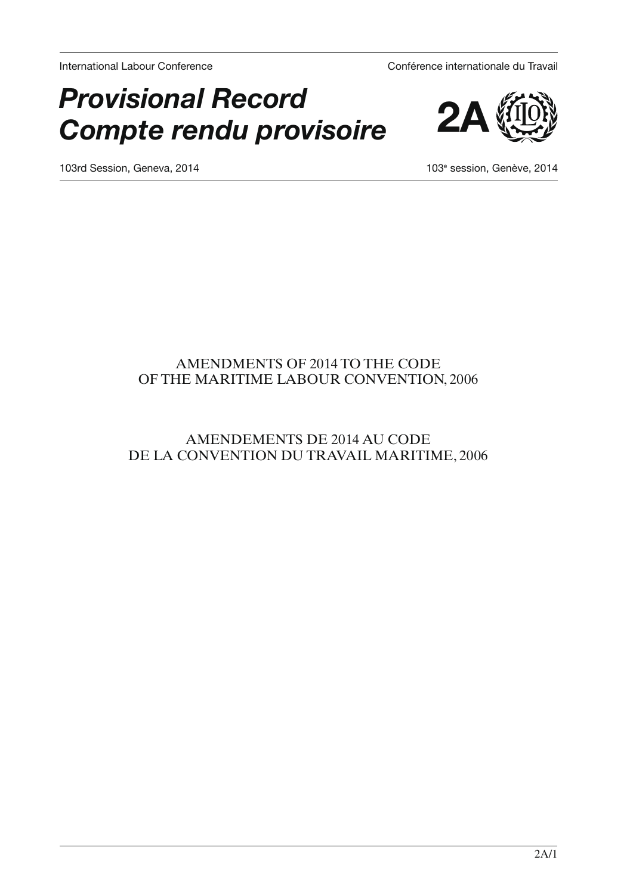International Labour Conference Conférence internationale du Travail

# *Provisional Record Compte rendu provisoire*



103rd Session, Geneva, 2014

103<sup>e</sup> session, Genève, 2014

# AMENDMENTS OF 2014 TO THE CODE OF THE MARITIME LABOUR CONVENTION, 2006

# AMENDEMENTS DE 2014 AU CODE DE LA CONVENTION DU TRAVAIL MARITIME, 2006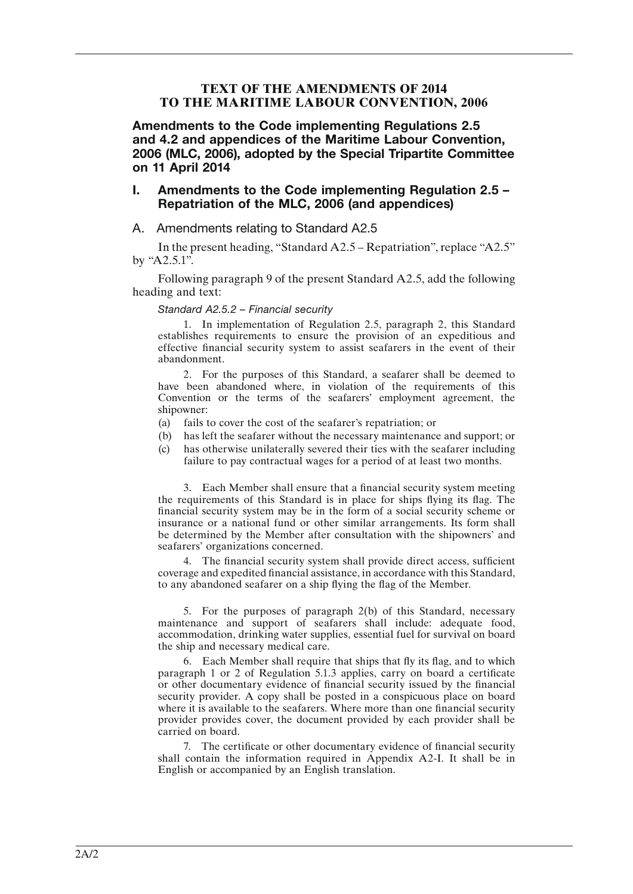# **TEXT OF THE AMENDMENTS OF 2014 TO THE MARITIME LABOUR CONVENTION, 2006**

Amendments to the Code implementing Regulations 2.5 and 4.2 and appendices of the Maritime Labour Convention, 2006 (MLC, 2006), adopted by the Special Tripartite Committee on 11 April 2014

# I. Amendments to the Code implementing Regulation 2.5 – Repatriation of the MLC, 2006 (and appendices)

## A. Amendments relating to Standard A2.5

In the present heading, "Standard A2.5 – Repatriation", replace "A2.5" by "A2.5.1".

Following paragraph 9 of the present Standard A2.5, add the following heading and text:

## *Standard A2.5.2 – Financial security*

1. In implementation of Regulation 2.5, paragraph 2, this Standard establishes requirements to ensure the provision of an expeditious and effective financial security system to assist seafarers in the event of their abandonment.

2. For the purposes of this Standard, a seafarer shall be deemed to have been abandoned where, in violation of the requirements of this Convention or the terms of the seafarers' employment agreement, the shipowner:

- (a) fails to cover the cost of the seafarer's repatriation; or
- (b) has left the seafarer without the necessary maintenance and support; or
- (c) has otherwise unilaterally severed their ties with the seafarer including failure to pay contractual wages for a period of at least two months.

3. Each Member shall ensure that a financial security system meeting the requirements of this Standard is in place for ships flying its flag. The financial security system may be in the form of a social security scheme or insurance or a national fund or other similar arrangements. Its form shall be determined by the Member after consultation with the shipowners' and seafarers' organizations concerned.

4. The financial security system shall provide direct access, sufficient coverage and expedited financial assistance, in accordance with this Standard, to any abandoned seafarer on a ship flying the flag of the Member.

5. For the purposes of paragraph 2(b) of this Standard, necessary maintenance and support of seafarers shall include: adequate food, accommodation, drinking water supplies, essential fuel for survival on board the ship and necessary medical care.

6. Each Member shall require that ships that fly its flag, and to which paragraph 1 or 2 of Regulation 5.1.3 applies, carry on board a certificate or other documentary evidence of financial security issued by the financial security provider. A copy shall be posted in a conspicuous place on board where it is available to the seafarers. Where more than one financial security provider provides cover, the document provided by each provider shall be carried on board.

7. The certificate or other documentary evidence of financial security shall contain the information required in Appendix A2-I. It shall be in English or accompanied by an English translation.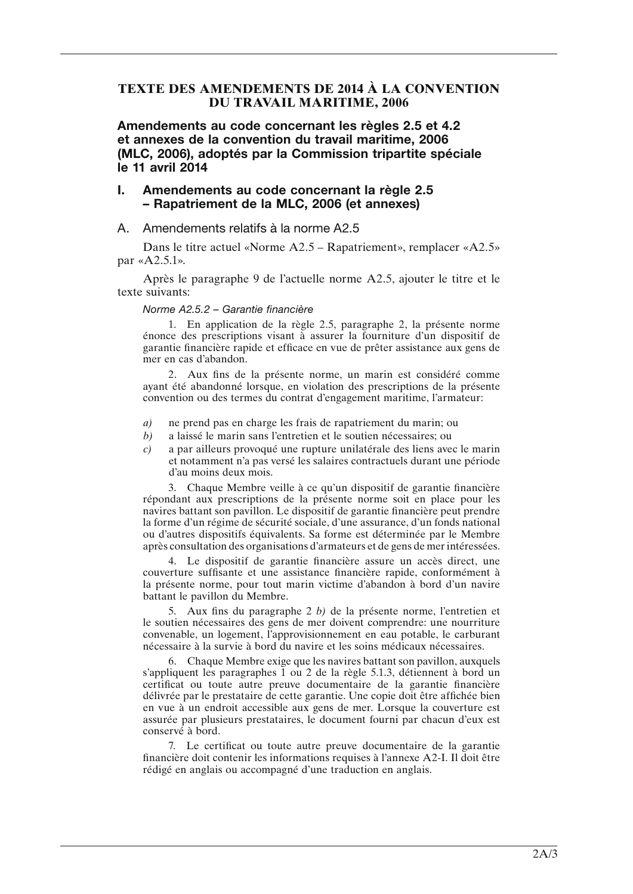# **TEXTE DES AMENDEMENTS DE 2014 À LA CONVENTION DU TRAVAIL MARITIME, 2006**

Amendements au code concernant les règles 2.5 et 4.2 et annexes de la convention du travail maritime, 2006 (MLC, 2006), adoptés par la Commission tripartite spéciale le 11 avril 2014

# I. Amendements au code concernant la règle 2.5 – Rapatriement de la MLC, 2006 (et annexes)

# A. Amendements relatifs à la norme A2.5

Dans le titre actuel «Norme A2.5 – Rapatriement», remplacer «A2.5» par «A2.5.1».

Après le paragraphe 9 de l'actuelle norme A2.5, ajouter le titre et le texte suivants:

## *Norme A2.5.2 – Garantie financière*

1. En application de la règle 2.5, paragraphe 2, la présente norme énonce des prescriptions visant à assurer la fourniture d'un dispositif de garantie financière rapide et efficace en vue de prêter assistance aux gens de mer en cas d'abandon.

2. Aux fins de la présente norme, un marin est considéré comme ayant été abandonné lorsque, en violation des prescriptions de la présente convention ou des termes du contrat d'engagement maritime, l'armateur:

- *a)* ne prend pas en charge les frais de rapatriement du marin; ou
- *b)* a laissé le marin sans l'entretien et le soutien nécessaires; ou
- *c)* a par ailleurs provoqué une rupture unilatérale des liens avec le marin et notamment n'a pas versé les salaires contractuels durant une période d'au moins deux mois.

3. Chaque Membre veille à ce qu'un dispositif de garantie financière répondant aux prescriptions de la présente norme soit en place pour les navires battant son pavillon. Le dispositif de garantie financière peut prendre la forme d'un régime de sécurité sociale, d'une assurance, d'un fonds national ou d'autres dispositifs équivalents. Sa forme est déterminée par le Membre après consultation des organisations d'armateurs et de gens de mer intéressées.

4. Le dispositif de garantie financière assure un accès direct, une couverture suffisante et une assistance financière rapide, conformément à la présente norme, pour tout marin victime d'abandon à bord d'un navire battant le pavillon du Membre.

5. Aux fins du paragraphe 2 *b)* de la présente norme, l'entretien et le soutien nécessaires des gens de mer doivent comprendre: une nourriture convenable, un logement, l'approvisionnement en eau potable, le carburant nécessaire à la survie à bord du navire et les soins médicaux nécessaires.

6. Chaque Membre exige que les navires battant son pavillon, auxquels s'appliquent les paragraphes 1 ou 2 de la règle 5.1.3, détiennent à bord un certificat ou toute autre preuve documentaire de la garantie financière délivrée par le prestataire de cette garantie. Une copie doit être affichée bien en vue à un endroit accessible aux gens de mer. Lorsque la couverture est assurée par plusieurs prestataires, le document fourni par chacun d'eux est conservé à bord.

7. Le certificat ou toute autre preuve documentaire de la garantie financière doit contenir les informations requises à l'annexe A2-I. Il doit être rédigé en anglais ou accompagné d'une traduction en anglais.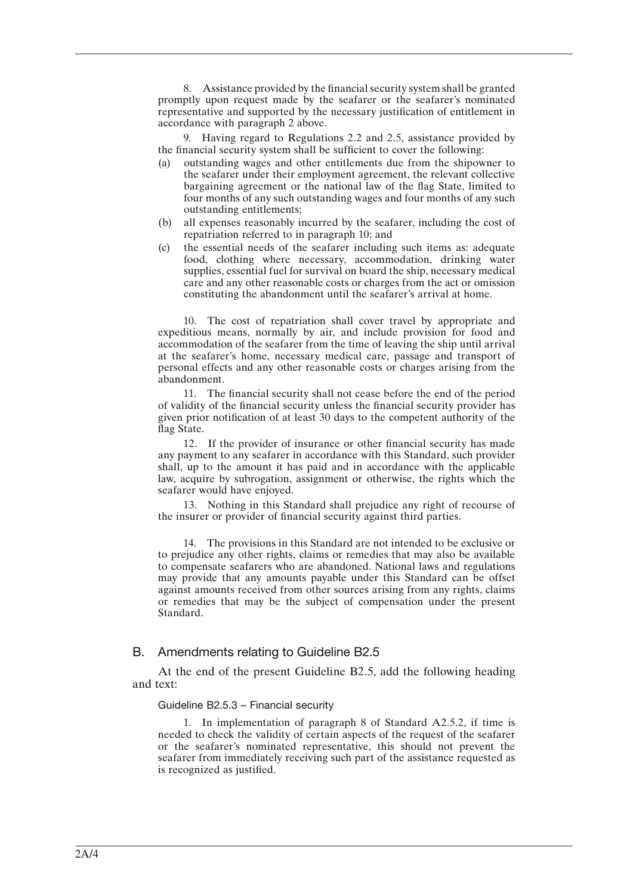8. Assistance provided by the financial security system shall be granted promptly upon request made by the seafarer or the seafarer's nominated representative and supported by the necessary justification of entitlement in accordance with paragraph 2 above.

9. Having regard to Regulations 2.2 and 2.5, assistance provided by the financial security system shall be sufficient to cover the following:

- (a) outstanding wages and other entitlements due from the shipowner to the seafarer under their employment agreement, the relevant collective bargaining agreement or the national law of the flag State, limited to four months of any such outstanding wages and four months of any such outstanding entitlements;
- (b) all expenses reasonably incurred by the seafarer, including the cost of repatriation referred to in paragraph 10; and
- (c) the essential needs of the seafarer including such items as: adequate food, clothing where necessary, accommodation, drinking water supplies, essential fuel for survival on board the ship, necessary medical care and any other reasonable costs or charges from the act or omission constituting the abandonment until the seafarer's arrival at home.

10. The cost of repatriation shall cover travel by appropriate and expeditious means, normally by air, and include provision for food and accommodation of the seafarer from the time of leaving the ship until arrival at the seafarer's home, necessary medical care, passage and transport of personal effects and any other reasonable costs or charges arising from the abandonment.

11. The financial security shall not cease before the end of the period of validity of the financial security unless the financial security provider has given prior notification of at least 30 days to the competent authority of the flag State.

12. If the provider of insurance or other financial security has made any payment to any seafarer in accordance with this Standard, such provider shall, up to the amount it has paid and in accordance with the applicable law, acquire by subrogation, assignment or otherwise, the rights which the seafarer would have enjoyed.

13. Nothing in this Standard shall prejudice any right of recourse of the insurer or provider of financial security against third parties.

14. The provisions in this Standard are not intended to be exclusive or to prejudice any other rights, claims or remedies that may also be available to compensate seafarers who are abandoned. National laws and regulations may provide that any amounts payable under this Standard can be offset against amounts received from other sources arising from any rights, claims or remedies that may be the subject of compensation under the present Standard.

## B. Amendments relating to Guideline B2.5

At the end of the present Guideline B2.5, add the following heading and text:

### Guideline B2.5.3 – Financial security

1. In implementation of paragraph 8 of Standard A2.5.2, if time is needed to check the validity of certain aspects of the request of the seafarer or the seafarer's nominated representative, this should not prevent the seafarer from immediately receiving such part of the assistance requested as is recognized as justified.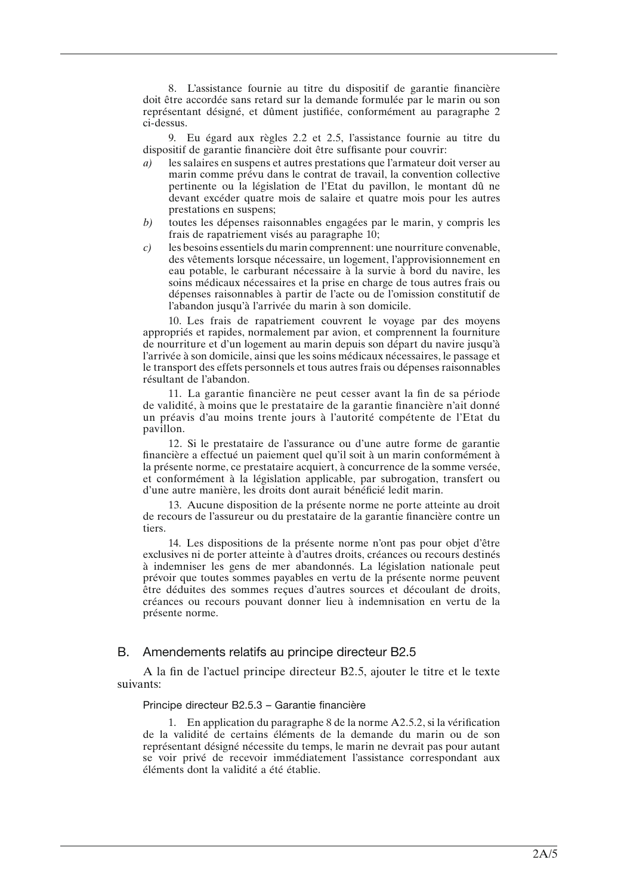8. L'assistance fournie au titre du dispositif de garantie financière doit être accordée sans retard sur la demande formulée par le marin ou son représentant désigné, et dûment justifiée, conformément au paragraphe 2 ci-dessus.

9. Eu égard aux règles 2.2 et 2.5, l'assistance fournie au titre du dispositif de garantie financière doit être suffisante pour couvrir:

- *a)* les salaires en suspens et autres prestations que l'armateur doit verser au marin comme prévu dans le contrat de travail, la convention collective pertinente ou la législation de l'Etat du pavillon, le montant dû ne devant excéder quatre mois de salaire et quatre mois pour les autres prestations en suspens;
- *b)* toutes les dépenses raisonnables engagées par le marin, y compris les frais de rapatriement visés au paragraphe 10;
- *c)* les besoins essentiels du marin comprennent: une nourriture convenable, des vêtements lorsque nécessaire, un logement, l'approvisionnement en eau potable, le carburant nécessaire à la survie à bord du navire, les soins médicaux nécessaires et la prise en charge de tous autres frais ou dépenses raisonnables à partir de l'acte ou de l'omission constitutif de l'abandon jusqu'à l'arrivée du marin à son domicile.

10. Les frais de rapatriement couvrent le voyage par des moyens appropriés et rapides, normalement par avion, et comprennent la fourniture de nourriture et d'un logement au marin depuis son départ du navire jusqu'à l'arrivée à son domicile, ainsi que les soins médicaux nécessaires, le passage et le transport des effets personnels et tous autres frais ou dépenses raisonnables résultant de l'abandon.

11. La garantie financière ne peut cesser avant la fin de sa période de validité, à moins que le prestataire de la garantie financière n'ait donné un préavis d'au moins trente jours à l'autorité compétente de l'Etat du pavillon.

12. Si le prestataire de l'assurance ou d'une autre forme de garantie financière a effectué un paiement quel qu'il soit à un marin conformément à la présente norme, ce prestataire acquiert, à concurrence de la somme versée, et conformément à la législation applicable, par subrogation, transfert ou d'une autre manière, les droits dont aurait bénéficié ledit marin.

13. Aucune disposition de la présente norme ne porte atteinte au droit de recours de l'assureur ou du prestataire de la garantie financière contre un tiers.

14. Les dispositions de la présente norme n'ont pas pour objet d'être exclusives ni de porter atteinte à d'autres droits, créances ou recours destinés à indemniser les gens de mer abandonnés. La législation nationale peut prévoir que toutes sommes payables en vertu de la présente norme peuvent être déduites des sommes reçues d'autres sources et découlant de droits, créances ou recours pouvant donner lieu à indemnisation en vertu de la présente norme.

#### B. Amendements relatifs au principe directeur B2.5

A la fin de l'actuel principe directeur B2.5, ajouter le titre et le texte suivants:

#### Principe directeur B2.5.3 – Garantie financière

1. En application du paragraphe 8 de la norme A2.5.2, si la vérification de la validité de certains éléments de la demande du marin ou de son représentant désigné nécessite du temps, le marin ne devrait pas pour autant se voir privé de recevoir immédiatement l'assistance correspondant aux éléments dont la validité a été établie.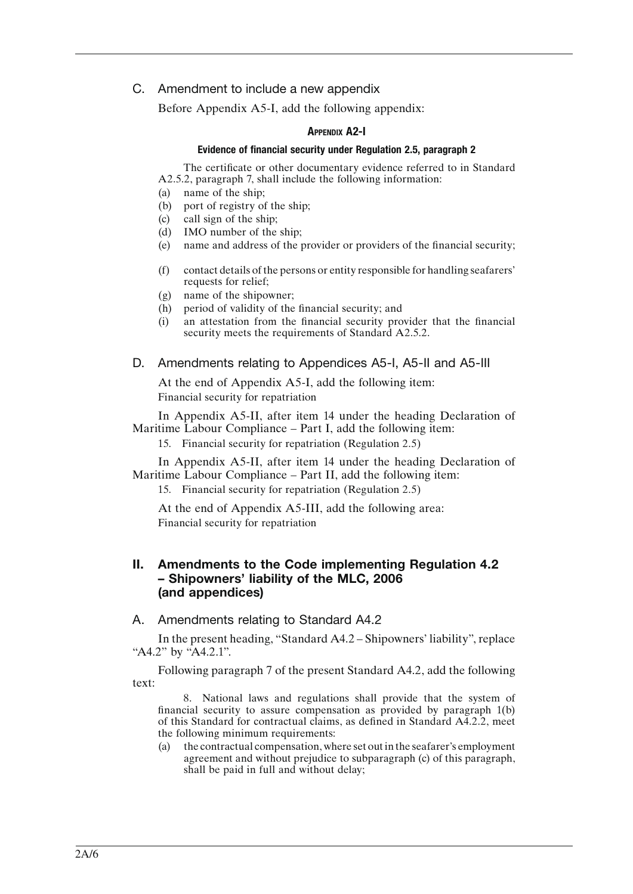# C. Amendment to include a new appendix

Before Appendix A5-I, add the following appendix:

# Appendix A2-I

## Evidence of financial security under Regulation 2.5, paragraph 2

The certificate or other documentary evidence referred to in Standard A2.5.2, paragraph 7, shall include the following information:

- (a) name of the ship;
- (b) port of registry of the ship;
- (c) call sign of the ship;
- (d) IMO number of the ship;
- (e) name and address of the provider or providers of the financial security;
- (f) contact details of the persons or entity responsible for handling seafarers' requests for relief;
- (g) name of the shipowner;
- (h) period of validity of the financial security; and
- (i) an attestation from the financial security provider that the financial security meets the requirements of Standard A2.5.2.

# D. Amendments relating to Appendices A5-I, A5-II and A5-III

At the end of Appendix A5-I, add the following item: Financial security for repatriation

In Appendix A5-II, after item 14 under the heading Declaration of Maritime Labour Compliance – Part I, add the following item:

15. Financial security for repatriation (Regulation 2.5)

In Appendix A5-II, after item 14 under the heading Declaration of Maritime Labour Compliance – Part II, add the following item:

15. Financial security for repatriation (Regulation 2.5)

At the end of Appendix A5-III, add the following area: Financial security for repatriation

# II. Amendments to the Code implementing Regulation 4.2 – Shipowners' liability of the MLC, 2006 (and appendices)

A. Amendments relating to Standard A4.2

In the present heading, "Standard A4.2 – Shipowners' liability", replace "A4.2" by "A4.2.1".

Following paragraph 7 of the present Standard A4.2, add the following text:

8. National laws and regulations shall provide that the system of financial security to assure compensation as provided by paragraph 1(b) of this Standard for contractual claims, as defined in Standard A4.2.2, meet the following minimum requirements:

(a) the contractual compensation, where set out in the seafarer's employment agreement and without prejudice to subparagraph (c) of this paragraph, shall be paid in full and without delay;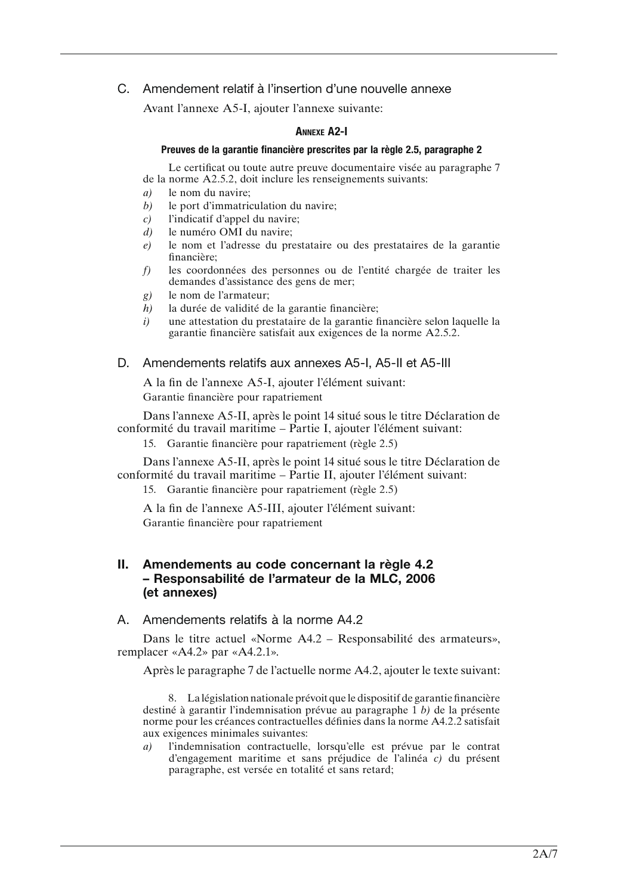# C. Amendement relatif à l'insertion d'une nouvelle annexe

Avant l'annexe A5-I, ajouter l'annexe suivante:

## Annexe A2-I

#### Preuves de la garantie financière prescrites par la règle 2.5, paragraphe 2

Le certificat ou toute autre preuve documentaire visée au paragraphe 7 de la norme A2.5.2, doit inclure les renseignements suivants:

- *a)* le nom du navire;
- *b)* le port d'immatriculation du navire;
- *c)* l'indicatif d'appel du navire;
- *d)* le numéro OMI du navire;
- *e)* le nom et l'adresse du prestataire ou des prestataires de la garantie financière;
- *f)* les coordonnées des personnes ou de l'entité chargée de traiter les demandes d'assistance des gens de mer;
- *g)* le nom de l'armateur;
- *h)* la durée de validité de la garantie financière;
- *i)* une attestation du prestataire de la garantie financière selon laquelle la garantie financière satisfait aux exigences de la norme A2.5.2.
- D. Amendements relatifs aux annexes A5-I, A5-II et A5-III

A la fin de l'annexe A5-I, ajouter l'élément suivant: Garantie financière pour rapatriement

Dans l'annexe A5-II, après le point 14 situé sous le titre Déclaration de conformité du travail maritime – Partie I, ajouter l'élément suivant:

15. Garantie financière pour rapatriement (règle 2.5)

Dans l'annexe A5-II, après le point 14 situé sous le titre Déclaration de conformité du travail maritime – Partie II, ajouter l'élément suivant:

15. Garantie financière pour rapatriement (règle 2.5)

A la fin de l'annexe A5-III, ajouter l'élément suivant:

Garantie financière pour rapatriement

# II. Amendements au code concernant la règle 4.2 – Responsabilité de l'armateur de la MLC, 2006 (et annexes)

A. Amendements relatifs à la norme A4.2

Dans le titre actuel «Norme A4.2 – Responsabilité des armateurs», remplacer «A4.2» par «A4.2.1».

Après le paragraphe 7 de l'actuelle norme A4.2, ajouter le texte suivant:

8. La législation nationale prévoit que le dispositif de garantie financière destiné à garantir l'indemnisation prévue au paragraphe 1 *b)* de la présente norme pour les créances contractuelles définies dans la norme A4.2.2 satisfait aux exigences minimales suivantes:

*a)* l'indemnisation contractuelle, lorsqu'elle est prévue par le contrat d'engagement maritime et sans préjudice de l'alinéa *c)* du présent paragraphe, est versée en totalité et sans retard;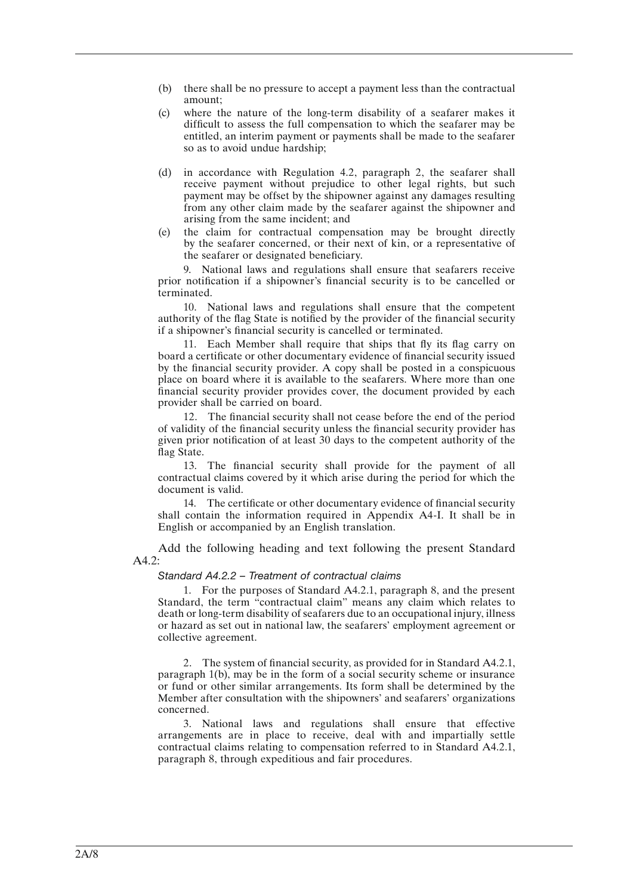- (b) there shall be no pressure to accept a payment less than the contractual amount;
- (c) where the nature of the long-term disability of a seafarer makes it difficult to assess the full compensation to which the seafarer may be entitled, an interim payment or payments shall be made to the seafarer so as to avoid undue hardship;
- (d) in accordance with Regulation 4.2, paragraph 2, the seafarer shall receive payment without prejudice to other legal rights, but such payment may be offset by the shipowner against any damages resulting from any other claim made by the seafarer against the shipowner and arising from the same incident; and
- (e) the claim for contractual compensation may be brought directly by the seafarer concerned, or their next of kin, or a representative of the seafarer or designated beneficiary.

9. National laws and regulations shall ensure that seafarers receive prior notification if a shipowner's financial security is to be cancelled or terminated.

10. National laws and regulations shall ensure that the competent authority of the flag State is notified by the provider of the financial security if a shipowner's financial security is cancelled or terminated.

11. Each Member shall require that ships that fly its flag carry on board a certificate or other documentary evidence of financial security issued by the financial security provider. A copy shall be posted in a conspicuous place on board where it is available to the seafarers. Where more than one financial security provider provides cover, the document provided by each provider shall be carried on board.

12. The financial security shall not cease before the end of the period of validity of the financial security unless the financial security provider has given prior notification of at least 30 days to the competent authority of the flag State.

13. The financial security shall provide for the payment of all contractual claims covered by it which arise during the period for which the document is valid.

14. The certificate or other documentary evidence of financial security shall contain the information required in Appendix A4-I. It shall be in English or accompanied by an English translation.

Add the following heading and text following the present Standard A4.2:

## *Standard A4.2.2 – Treatment of contractual claims*

1. For the purposes of Standard A4.2.1, paragraph 8, and the present Standard, the term "contractual claim" means any claim which relates to death or long-term disability of seafarers due to an occupational injury, illness or hazard as set out in national law, the seafarers' employment agreement or collective agreement.

2. The system of financial security, as provided for in Standard A4.2.1, paragraph 1(b), may be in the form of a social security scheme or insurance or fund or other similar arrangements. Its form shall be determined by the Member after consultation with the shipowners' and seafarers' organizations concerned.

3. National laws and regulations shall ensure that effective arrangements are in place to receive, deal with and impartially settle contractual claims relating to compensation referred to in Standard A4.2.1, paragraph 8, through expeditious and fair procedures.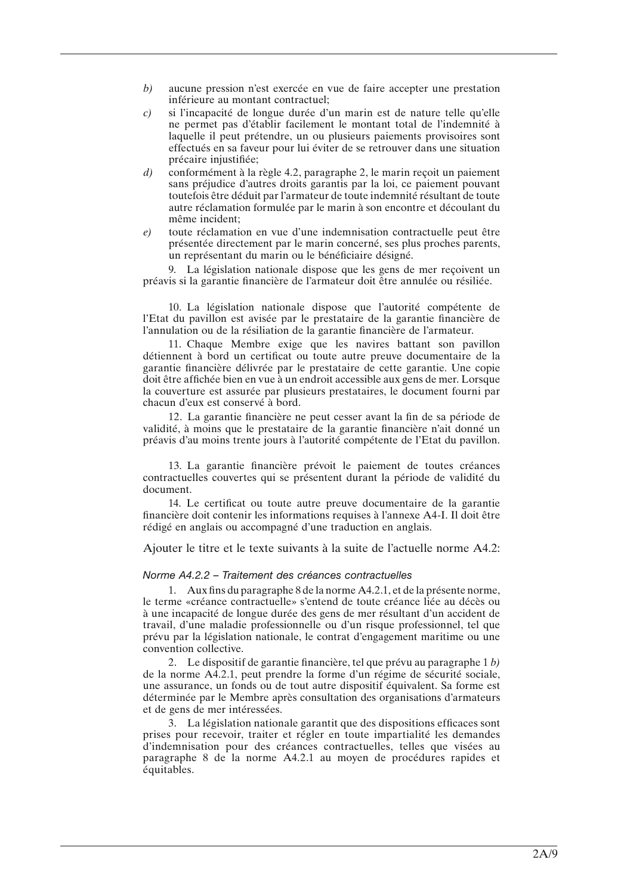- *b)* aucune pression n'est exercée en vue de faire accepter une prestation inférieure au montant contractuel;
- *c)* si l'incapacité de longue durée d'un marin est de nature telle qu'elle ne permet pas d'établir facilement le montant total de l'indemnité à laquelle il peut prétendre, un ou plusieurs paiements provisoires sont effectués en sa faveur pour lui éviter de se retrouver dans une situation précaire injustifiée;
- *d)* conformément à la règle 4.2, paragraphe 2, le marin reçoit un paiement sans préjudice d'autres droits garantis par la loi, ce paiement pouvant toutefois être déduit par l'armateur de toute indemnité résultant de toute autre réclamation formulée par le marin à son encontre et découlant du même incident;
- *e)* toute réclamation en vue d'une indemnisation contractuelle peut être présentée directement par le marin concerné, ses plus proches parents, un représentant du marin ou le bénéficiaire désigné.

9. La législation nationale dispose que les gens de mer reçoivent un préavis si la garantie financière de l'armateur doit être annulée ou résiliée.

10. La législation nationale dispose que l'autorité compétente de l'Etat du pavillon est avisée par le prestataire de la garantie financière de l'annulation ou de la résiliation de la garantie financière de l'armateur.

11. Chaque Membre exige que les navires battant son pavillon détiennent à bord un certificat ou toute autre preuve documentaire de la garantie financière délivrée par le prestataire de cette garantie. Une copie doit être affichée bien en vue à un endroit accessible aux gens de mer. Lorsque la couverture est assurée par plusieurs prestataires, le document fourni par chacun d'eux est conservé à bord.

12. La garantie financière ne peut cesser avant la fin de sa période de validité, à moins que le prestataire de la garantie financière n'ait donné un préavis d'au moins trente jours à l'autorité compétente de l'Etat du pavillon.

13. La garantie financière prévoit le paiement de toutes créances contractuelles couvertes qui se présentent durant la période de validité du document.

14. Le certificat ou toute autre preuve documentaire de la garantie financière doit contenir les informations requises à l'annexe A4-I. Il doit être rédigé en anglais ou accompagné d'une traduction en anglais.

Ajouter le titre et le texte suivants à la suite de l'actuelle norme A4.2:

#### *Norme A4.2.2 – Traitement des créances contractuelles*

1. Aux fins du paragraphe 8 de la norme A4.2.1, et de la présente norme, le terme «créance contractuelle» s'entend de toute créance liée au décès ou à une incapacité de longue durée des gens de mer résultant d'un accident de travail, d'une maladie professionnelle ou d'un risque professionnel, tel que prévu par la législation nationale, le contrat d'engagement maritime ou une convention collective.

2. Le dispositif de garantie financière, tel que prévu au paragraphe 1 *b)* de la norme A4.2.1, peut prendre la forme d'un régime de sécurité sociale, une assurance, un fonds ou de tout autre dispositif équivalent. Sa forme est déterminée par le Membre après consultation des organisations d'armateurs et de gens de mer intéressées.

3. La législation nationale garantit que des dispositions efficaces sont prises pour recevoir, traiter et régler en toute impartialité les demandes d'indemnisation pour des créances contractuelles, telles que visées au paragraphe 8 de la norme A4.2.1 au moyen de procédures rapides et équitables.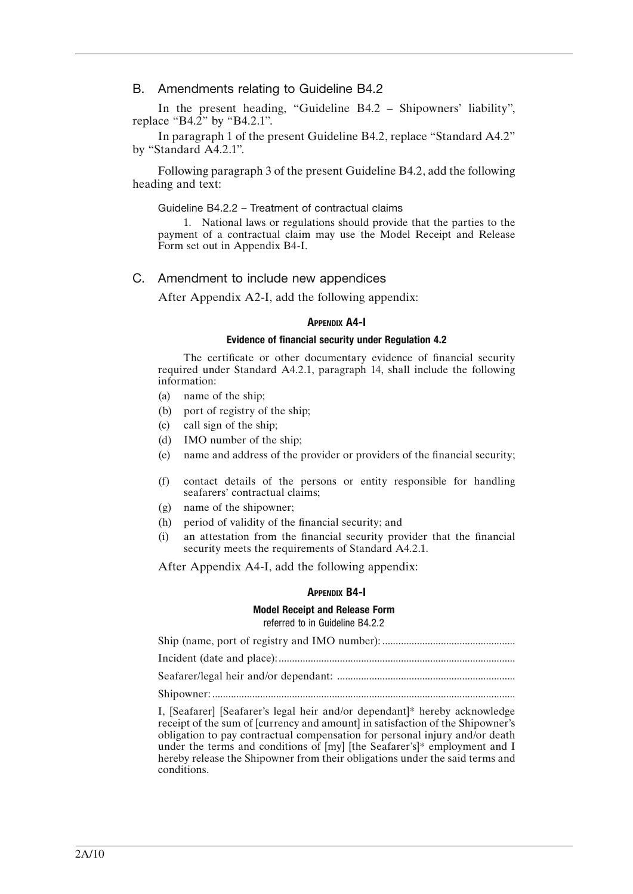B. Amendments relating to Guideline B4.2

In the present heading, "Guideline B4.2 – Shipowners' liability", replace "B4.2" by "B4.2.1".

In paragraph 1 of the present Guideline B4.2, replace "Standard A4.2" by "Standard A4.2.1".

Following paragraph 3 of the present Guideline B4.2, add the following heading and text:

#### Guideline B4.2.2 – Treatment of contractual claims

1. National laws or regulations should provide that the parties to the payment of a contractual claim may use the Model Receipt and Release Form set out in Appendix B4-I.

# C. Amendment to include new appendices

After Appendix A2-I, add the following appendix:

#### **APPENDIX A4-I**

#### Evidence of financial security under Regulation 4.2

The certificate or other documentary evidence of financial security required under Standard A4.2.1, paragraph 14, shall include the following information:

- (a) name of the ship;
- (b) port of registry of the ship;
- (c) call sign of the ship;
- (d) IMO number of the ship;
- (e) name and address of the provider or providers of the financial security;
- (f) contact details of the persons or entity responsible for handling seafarers' contractual claims;
- (g) name of the shipowner;
- (h) period of validity of the financial security; and
- (i) an attestation from the financial security provider that the financial security meets the requirements of Standard A4.2.1.

After Appendix A4-I, add the following appendix:

#### Appendix B4-I

# Model Receipt and Release Form

referred to in Guideline B4.2.2

Ship (name, port of registry and IMO number): .................................................. Incident (date and place):......................................................................................... Seafarer/legal heir and/or dependant: ................................................................... Shipowner: ..................................................................................................................

I, [Seafarer] [Seafarer's legal heir and/or dependant]\* hereby acknowledge receipt of the sum of [currency and amount] in satisfaction of the Shipowner's obligation to pay contractual compensation for personal injury and/or death under the terms and conditions of [my] [the Seafarer's]\* employment and I hereby release the Shipowner from their obligations under the said terms and conditions.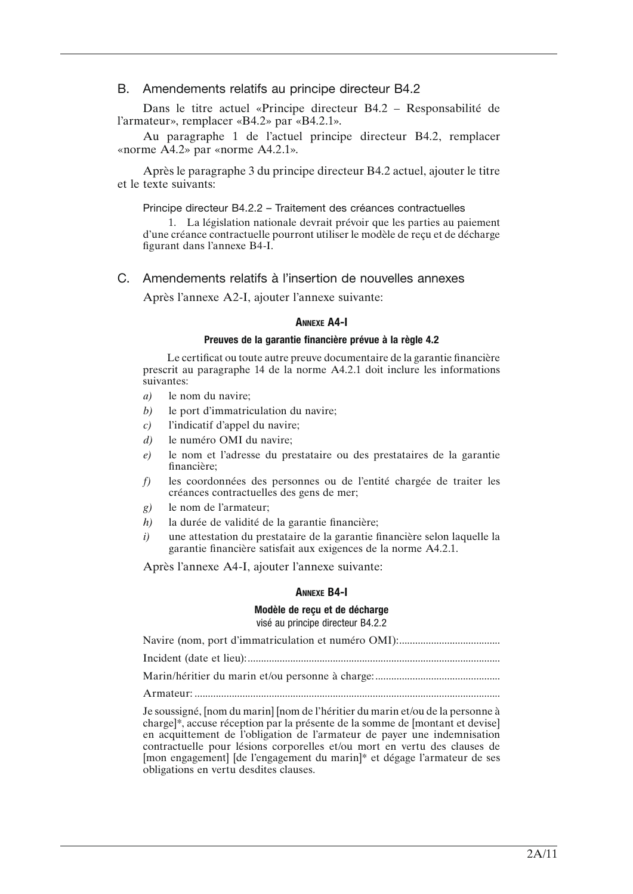# B. Amendements relatifs au principe directeur B4.2

Dans le titre actuel «Principe directeur B4.2 – Responsabilité de l'armateur», remplacer «B4.2» par «B4.2.1».

Au paragraphe 1 de l'actuel principe directeur B4.2, remplacer «norme A4.2» par «norme A4.2.1».

Après le paragraphe 3 du principe directeur B4.2 actuel, ajouter le titre et le texte suivants:

#### Principe directeur B4.2.2 – Traitement des créances contractuelles

1. La législation nationale devrait prévoir que les parties au paiement d'une créance contractuelle pourront utiliser le modèle de reçu et de décharge figurant dans l'annexe B4-I.

# C. Amendements relatifs à l'insertion de nouvelles annexes

Après l'annexe A2-I, ajouter l'annexe suivante:

# Annexe A4-I

#### Preuves de la garantie financière prévue à la règle 4.2

Le certificat ou toute autre preuve documentaire de la garantie financière prescrit au paragraphe 14 de la norme A4.2.1 doit inclure les informations suivantes:

- *a)* le nom du navire;
- *b)* le port d'immatriculation du navire;
- *c)* l'indicatif d'appel du navire;
- *d)* le numéro OMI du navire;
- *e)* le nom et l'adresse du prestataire ou des prestataires de la garantie financière;
- *f)* les coordonnées des personnes ou de l'entité chargée de traiter les créances contractuelles des gens de mer;
- *g)* le nom de l'armateur;
- *h)* la durée de validité de la garantie financière;
- *i)* une attestation du prestataire de la garantie financière selon laquelle la garantie financière satisfait aux exigences de la norme A4.2.1.

Après l'annexe A4-I, ajouter l'annexe suivante:

#### Annexe B4-I

#### Modèle de reçu et de décharge visé au principe directeur B4.2.2

Navire (nom, port d'immatriculation et numéro OMI):...................................... Incident (date et lieu):............................................................................................... Marin/héritier du marin et/ou personne à charge:............................................... Armateur: ................................................................................................................... Je soussigné, [nom du marin] [nom de l'héritier du marin et/ou de la personne à

charge]\*, accuse réception par la présente de la somme de [montant et devise] en acquittement de l'obligation de l'armateur de payer une indemnisation contractuelle pour lésions corporelles et/ou mort en vertu des clauses de [mon engagement] [de l'engagement du marin]\* et dégage l'armateur de ses obligations en vertu desdites clauses.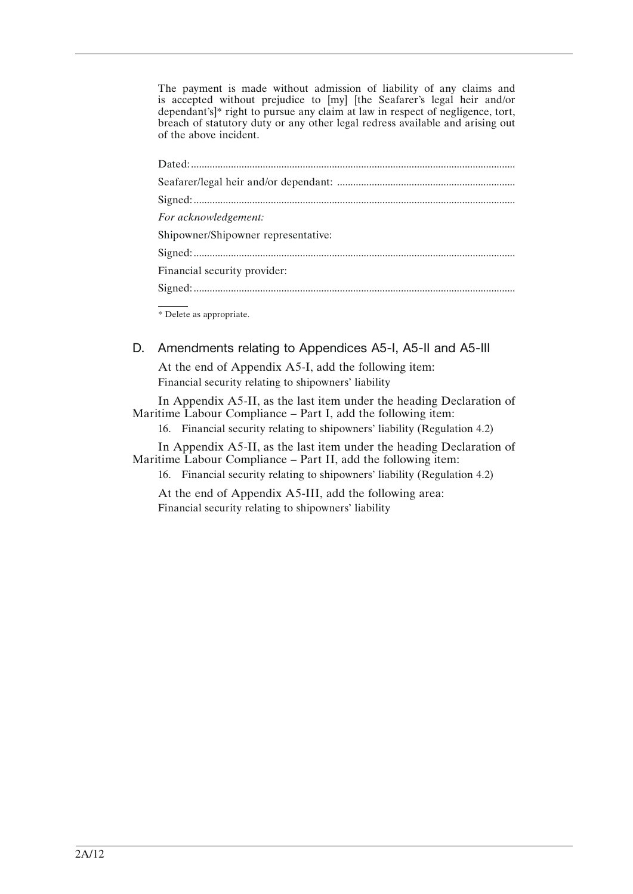The payment is made without admission of liability of any claims and is accepted without prejudice to [my] [the Seafarer's legal heir and/or dependant's]\* right to pursue any claim at law in respect of negligence, tort, breach of statutory duty or any other legal redress available and arising out of the above incident.

| For acknowledgement:                |
|-------------------------------------|
| Shipowner/Shipowner representative: |
|                                     |
| Financial security provider:        |
|                                     |
|                                     |

\* Delete as appropriate.

D. Amendments relating to Appendices A5-I, A5-II and A5-III

At the end of Appendix A5-I, add the following item: Financial security relating to shipowners' liability

In Appendix A5-II, as the last item under the heading Declaration of Maritime Labour Compliance – Part I, add the following item:

16. Financial security relating to shipowners' liability (Regulation 4.2)

In Appendix A5-II, as the last item under the heading Declaration of Maritime Labour Compliance – Part II, add the following item:

16. Financial security relating to shipowners' liability (Regulation 4.2)

At the end of Appendix A5-III, add the following area: Financial security relating to shipowners' liability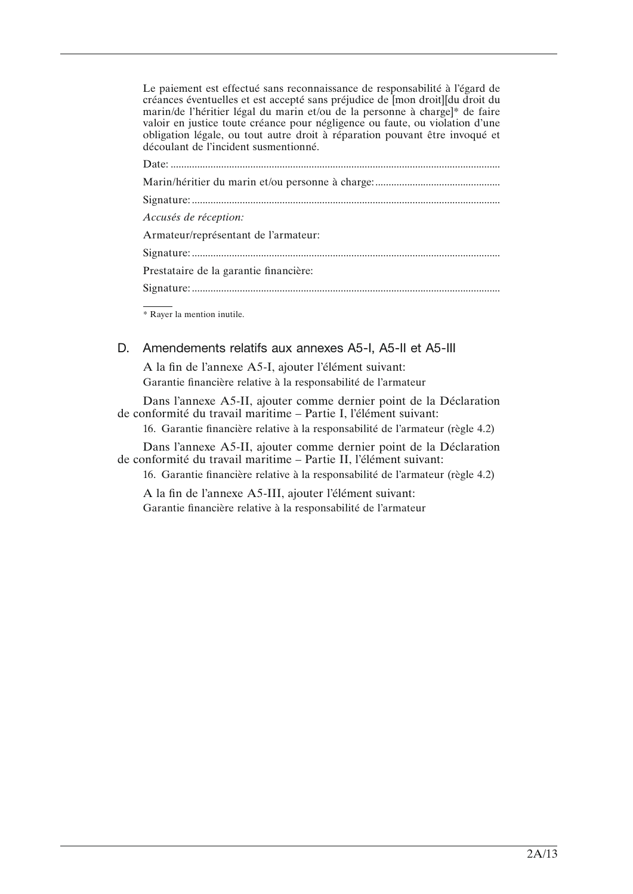Le paiement est effectué sans reconnaissance de responsabilité à l'égard de créances éventuelles et est accepté sans préjudice de [mon droit][du droit du marin/de l'héritier légal du marin et/ou de la personne à charge]\* de faire valoir en justice toute créance pour négligence ou faute, ou violation d'une obligation légale, ou tout autre droit à réparation pouvant être invoqué et découlant de l'incident susmentionné.

| Accusés de réception:                  |
|----------------------------------------|
| Armateur/représentant de l'armateur:   |
|                                        |
| Prestataire de la garantie financière: |
|                                        |
|                                        |

\* Rayer la mention inutile.

# D. Amendements relatifs aux annexes A5-I, A5-II et A5-III

A la fin de l'annexe A5-I, ajouter l'élément suivant: Garantie financière relative à la responsabilité de l'armateur

Dans l'annexe A5-II, ajouter comme dernier point de la Déclaration de conformité du travail maritime – Partie I, l'élément suivant:

16. Garantie financière relative à la responsabilité de l'armateur (règle 4.2)

Dans l'annexe A5-II, ajouter comme dernier point de la Déclaration de conformité du travail maritime – Partie II, l'élément suivant:

16. Garantie financière relative à la responsabilité de l'armateur (règle 4.2)

A la fin de l'annexe A5-III, ajouter l'élément suivant: Garantie financière relative à la responsabilité de l'armateur